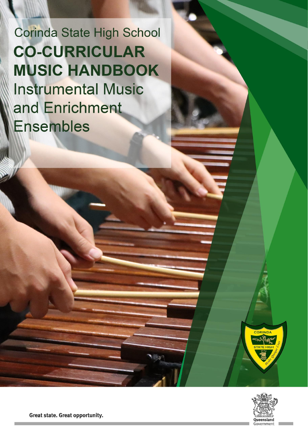**Corinda State High School CO-CURRICULAR MUSIC HANDBOOK Instrumental Music** and Enrichment **Ensembles** 



Corinda State High School

Co-Curricular Music Handbook 2022

Great state. Great opportunity.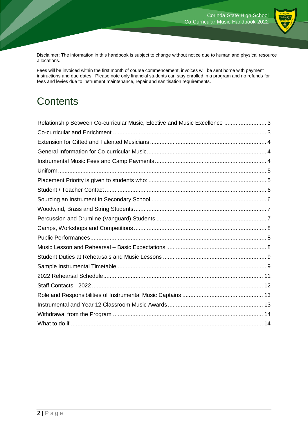

Disclaimer: The information in this handbook is subject to change without notice due to human and physical resource allocations.

Fees will be invoiced within the first month of course commencement, invoices will be sent home with payment instructions and due dates. Please note only financial students can stay enrolled in a program and no refunds for fees and levies due to instrument maintenance, repair and sanitisation requirements.

# **Contents**

| Relationship Between Co-curricular Music, Elective and Music Excellence  3 |  |
|----------------------------------------------------------------------------|--|
|                                                                            |  |
|                                                                            |  |
|                                                                            |  |
|                                                                            |  |
|                                                                            |  |
|                                                                            |  |
|                                                                            |  |
|                                                                            |  |
|                                                                            |  |
|                                                                            |  |
|                                                                            |  |
|                                                                            |  |
|                                                                            |  |
|                                                                            |  |
|                                                                            |  |
|                                                                            |  |
|                                                                            |  |
|                                                                            |  |
|                                                                            |  |
|                                                                            |  |
|                                                                            |  |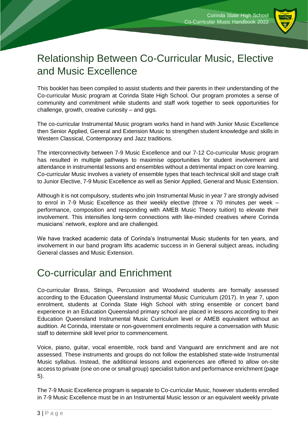

## <span id="page-2-0"></span>Relationship Between Co-Curricular Music, Elective and Music Excellence

This booklet has been compiled to assist students and their parents in their understanding of the Co-curricular Music program at Corinda State High School. Our program promotes a sense of community and commitment while students and staff work together to seek opportunities for challenge, growth, creative curiosity – and gigs.

The co-curricular Instrumental Music program works hand in hand with Junior Music Excellence then Senior Applied, General and Extension Music to strengthen student knowledge and skills in Western Classical, Contemporary and Jazz traditions.

The interconnectivity between 7-9 Music Excellence and our 7-12 Co-curricular Music program has resulted in multiple pathways to maximise opportunities for student involvement and attendance in instrumental lessons and ensembles without a detrimental impact on core learning. Co-curricular Music involves a variety of ensemble types that teach technical skill and stage craft to Junior Elective, 7-9 Music Excellence as well as Senior Applied, General and Music Extension.

Although it is not compulsory, students who join Instrumental Music in year 7 are strongly advised to enrol in 7-9 Music Excellence as their weekly elective (three x 70 minutes per week – performance, composition and responding with AMEB Music Theory tuition) to elevate their involvement. This intensifies long-term connections with like-minded creatives where Corinda musicians' network, explore and are challenged.

We have tracked academic data of Corinda's Instrumental Music students for ten years, and involvement in our band program lifts academic success in in General subject areas, including General classes and Music Extension.

## <span id="page-2-1"></span>Co-curricular and Enrichment

Co-curricular Brass, Strings, Percussion and Woodwind students are formally assessed according to the Education Queensland Instrumental Music Curriculum (2017). In year 7, upon enrolment, students at Corinda State High School with string ensemble or concert band experience in an Education Queensland primary school are placed in lessons according to their Education Queensland Instrumental Music Curriculum level or AMEB equivalent without an audition. At Corinda, interstate or non-government enrolments require a conversation with Music staff to determine skill level prior to commencement.

Voice, piano, guitar, vocal ensemble, rock band and Vanguard are enrichment and are not assessed. These instruments and groups do not follow the established state-wide Instrumental Music syllabus. Instead, the additional lessons and experiences are offered to allow on-site access to private (one on one or small group) specialist tuition and performance enrichment (page 5).

The 7-9 Music Excellence program is separate to Co-curricular Music, however students enrolled in 7-9 Music Excellence must be in an Instrumental Music lesson or an equivalent weekly private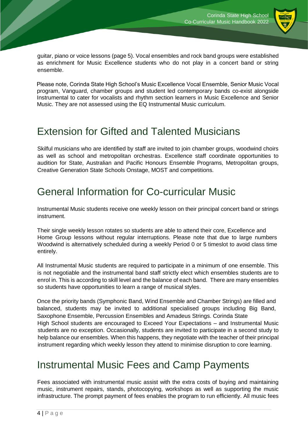

guitar, piano or voice lessons (page 5). Vocal ensembles and rock band groups were established as enrichment for Music Excellence students who do not play in a concert band or string ensemble.

Please note, Corinda State High School's Music Excellence Vocal Ensemble, Senior Music Vocal program, Vanguard, chamber groups and student led contemporary bands co-exist alongside Instrumental to cater for vocalists and rhythm section learners in Music Excellence and Senior Music. They are not assessed using the EQ Instrumental Music curriculum.

### <span id="page-3-0"></span>Extension for Gifted and Talented Musicians

Skilful musicians who are identified by staff are invited to join chamber groups, woodwind choirs as well as school and metropolitan orchestras. Excellence staff coordinate opportunities to audition for State, Australian and Pacific Honours Ensemble Programs, Metropolitan groups, Creative Generation State Schools Onstage, MOST and competitions.

## <span id="page-3-1"></span>General Information for Co-curricular Music

Instrumental Music students receive one weekly lesson on their principal concert band or strings instrument.

Their single weekly lesson rotates so students are able to attend their core, Excellence and Home Group lessons without regular interruptions. Please note that due to large numbers Woodwind is alternatively scheduled during a weekly Period 0 or 5 timeslot to avoid class time entirely.

All Instrumental Music students are required to participate in a minimum of one ensemble. This is not negotiable and the instrumental band staff strictly elect which ensembles students are to enrol in. This is according to skill level and the balance of each band. There are many ensembles so students have opportunities to learn a range of musical styles.

Once the priority bands (Symphonic Band, Wind Ensemble and Chamber Strings) are filled and balanced, students may be invited to additional specialised groups including Big Band, Saxophone Ensemble, Percussion Ensembles and Amadeus Strings. Corinda State High School students are encouraged to Exceed Your Expectations – and Instrumental Music students are no exception. Occasionally, students are invited to participate in a second study to help balance our ensembles. When this happens, they negotiate with the teacher of their principal instrument regarding which weekly lesson they attend to minimise disruption to core learning.

#### <span id="page-3-2"></span>Instrumental Music Fees and Camp Payments

Fees associated with instrumental music assist with the extra costs of buying and maintaining music, instrument repairs, stands, photocopying, workshops as well as supporting the music infrastructure. The prompt payment of fees enables the program to run efficiently. All music fees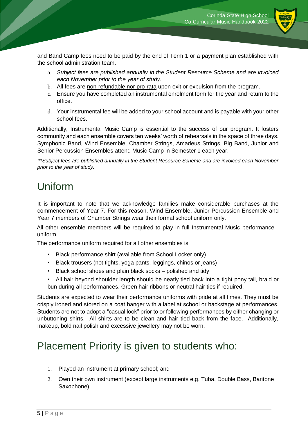

and Band Camp fees need to be paid by the end of Term 1 or a payment plan established with the school administration team.

- a. *Subject fees are published annually in the Student Resource Scheme and are invoiced each November prior to the year of study.*
- b. All fees are non-refundable nor pro-rata upon exit or expulsion from the program.
- c. Ensure you have completed an instrumental enrolment form for the year and return to the office.
- d. Your instrumental fee will be added to your school account and is payable with your other school fees.

Additionally, Instrumental Music Camp is essential to the success of our program. It fosters community and each ensemble covers ten weeks' worth of rehearsals in the space of three days. Symphonic Band, Wind Ensemble, Chamber Strings, Amadeus Strings, Big Band, Junior and Senior Percussion Ensembles attend Music Camp in Semester 1 each year.

*\*\*Subject fees are published annually in the Student Resource Scheme and are invoiced each November prior to the year of study.*

### <span id="page-4-0"></span>Uniform

It is important to note that we acknowledge families make considerable purchases at the commencement of Year 7. For this reason, Wind Ensemble, Junior Percussion Ensemble and Year 7 members of Chamber Strings wear their formal school uniform only.

All other ensemble members will be required to play in full Instrumental Music performance uniform.

The performance uniform required for all other ensembles is:

- Black performance shirt (available from School Locker only)
- Black trousers (not tights, yoga pants, leggings, chinos or jeans)
- Black school shoes and plain black socks polished and tidy
- All hair beyond shoulder length should be neatly tied back into a tight pony tail, braid or bun during all performances. Green hair ribbons or neutral hair ties if required.

Students are expected to wear their performance uniforms with pride at all times. They must be crisply ironed and stored on a coat hanger with a label at school or backstage at performances. Students are not to adopt a "casual look" prior to or following performances by either changing or unbuttoning shirts. All shirts are to be clean and hair tied back from the face. Additionally, makeup, bold nail polish and excessive jewellery may not be worn.

## <span id="page-4-1"></span>Placement Priority is given to students who:

- 1. Played an instrument at primary school; and
- 2. Own their own instrument (except large instruments e.g. Tuba, Double Bass, Baritone Saxophone).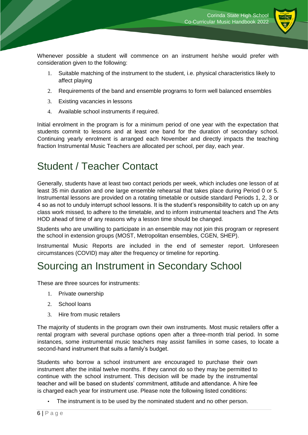

Whenever possible a student will commence on an instrument he/she would prefer with consideration given to the following:

- 1. Suitable matching of the instrument to the student, i.e. physical characteristics likely to affect playing
- 2. Requirements of the band and ensemble programs to form well balanced ensembles
- 3. Existing vacancies in lessons
- 4. Available school instruments if required.

Initial enrolment in the program is for a minimum period of one year with the expectation that students commit to lessons and at least one band for the duration of secondary school. Continuing yearly enrolment is arranged each November and directly impacts the teaching fraction Instrumental Music Teachers are allocated per school, per day, each year.

## <span id="page-5-0"></span>Student / Teacher Contact

Generally, students have at least two contact periods per week, which includes one lesson of at least 35 min duration and one large ensemble rehearsal that takes place during Period 0 or 5. Instrumental lessons are provided on a rotating timetable or outside standard Periods 1, 2, 3 or 4 so as not to unduly interrupt school lessons. It is the student's responsibility to catch up on any class work missed, to adhere to the timetable, and to inform instrumental teachers and The Arts HOD ahead of time of any reasons why a lesson time should be changed.

Students who are unwilling to participate in an ensemble may not join this program or represent the school in extension groups (MOST, Metropolitan ensembles, CGEN, SHEP).

Instrumental Music Reports are included in the end of semester report. Unforeseen circumstances (COVID) may alter the frequency or timeline for reporting.

#### <span id="page-5-1"></span>Sourcing an Instrument in Secondary School

These are three sources for instruments:

- 1. Private ownership
- 2. School loans
- 3. Hire from music retailers

The majority of students in the program own their own instruments. Most music retailers offer a rental program with several purchase options open after a three-month trial period. In some instances, some instrumental music teachers may assist families in some cases, to locate a second-hand instrument that suits a family's budget.

Students who borrow a school instrument are encouraged to purchase their own instrument after the initial twelve months. If they cannot do so they may be permitted to continue with the school instrument. This decision will be made by the instrumental teacher and will be based on students' commitment, attitude and attendance. A hire fee is charged each year for instrument use. Please note the following listed conditions:

The instrument is to be used by the nominated student and no other person.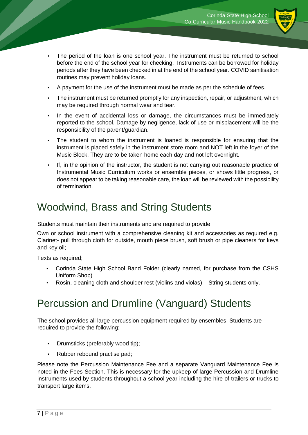

- The period of the loan is one school year. The instrument must be returned to school before the end of the school year for checking. Instruments can be borrowed for holiday periods after they have been checked in at the end of the school year. COVID sanitisation routines may prevent holiday loans.
- A payment for the use of the instrument must be made as per the schedule of fees.
- The instrument must be returned promptly for any inspection, repair, or adjustment, which may be required through normal wear and tear.
- In the event of accidental loss or damage, the circumstances must be immediately reported to the school. Damage by negligence, lack of use or misplacement will be the responsibility of the parent/guardian.
- The student to whom the instrument is loaned is responsible for ensuring that the instrument is placed safely in the instrument store room and NOT left in the foyer of the Music Block. They are to be taken home each day and not left overnight.
- If, in the opinion of the instructor, the student is not carrying out reasonable practice of Instrumental Music Curriculum works or ensemble pieces, or shows little progress, or does not appear to be taking reasonable care, the loan will be reviewed with the possibility of termination.

### <span id="page-6-0"></span>Woodwind, Brass and String Students

Students must maintain their instruments and are required to provide:

Own or school instrument with a comprehensive cleaning kit and accessories as required e.g. Clarinet- pull through cloth for outside, mouth piece brush, soft brush or pipe cleaners for keys and key oil;

Texts as required;

- Corinda State High School Band Folder (clearly named, for purchase from the CSHS Uniform Shop)
- Rosin, cleaning cloth and shoulder rest (violins and violas) String students only.

## <span id="page-6-1"></span>Percussion and Drumline (Vanguard) Students

The school provides all large percussion equipment required by ensembles. Students are required to provide the following:

- Drumsticks (preferably wood tip);
- Rubber rebound practise pad;

Please note the Percussion Maintenance Fee and a separate Vanguard Maintenance Fee is noted in the Fees Section. This is necessary for the upkeep of large Percussion and Drumline instruments used by students throughout a school year including the hire of trailers or trucks to transport large items.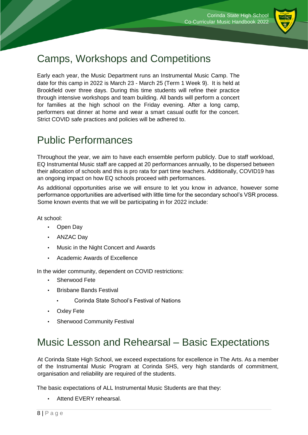

# <span id="page-7-0"></span>Camps, Workshops and Competitions

Early each year, the Music Department runs an Instrumental Music Camp. The date for this camp in 2022 is March 23 - March 25 (Term 1 Week 9). It is held at Brookfield over three days. During this time students will refine their practice through intensive workshops and team building. All bands will perform a concert for families at the high school on the Friday evening. After a long camp, performers eat dinner at home and wear a smart casual outfit for the concert. Strict COVID safe practices and policies will be adhered to.

### <span id="page-7-1"></span>Public Performances

Throughout the year, we aim to have each ensemble perform publicly. Due to staff workload, EQ Instrumental Music staff are capped at 20 performances annually, to be dispersed between their allocation of schools and this is pro rata for part time teachers. Additionally, COVID19 has an ongoing impact on how EQ schools proceed with performances.

As additional opportunities arise we will ensure to let you know in advance, however some performance opportunities are advertised with little time for the secondary school's VSR process. Some known events that we will be participating in for 2022 include:

At school:

- Open Day
- ANZAC Day
- Music in the Night Concert and Awards
- Academic Awards of Excellence

In the wider community, dependent on COVID restrictions:

- Sherwood Fete
- Brisbane Bands Festival
	- Corinda State School's Festival of Nations
- Oxley Fete
- Sherwood Community Festival

### <span id="page-7-2"></span>Music Lesson and Rehearsal – Basic Expectations

At Corinda State High School, we exceed expectations for excellence in The Arts. As a member of the Instrumental Music Program at Corinda SHS, very high standards of commitment, organisation and reliability are required of the students.

The basic expectations of ALL Instrumental Music Students are that they:

Attend EVERY rehearsal.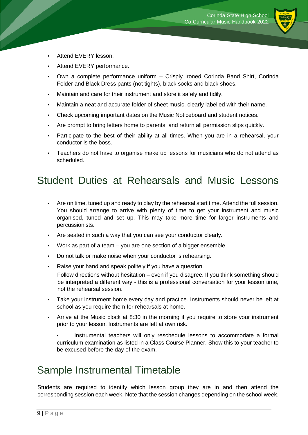

- Attend EVERY lesson.
- Attend EVERY performance.
- Own a complete performance uniform Crisply ironed Corinda Band Shirt, Corinda Folder and Black Dress pants (not tights), black socks and black shoes.
- Maintain and care for their instrument and store it safely and tidily.
- Maintain a neat and accurate folder of sheet music, clearly labelled with their name.
- Check upcoming important dates on the Music Noticeboard and student notices.
- Are prompt to bring letters home to parents, and return all permission slips quickly.
- Participate to the best of their ability at all times. When you are in a rehearsal, your conductor is the boss.
- Teachers do not have to organise make up lessons for musicians who do not attend as scheduled.

### <span id="page-8-0"></span>Student Duties at Rehearsals and Music Lessons

- Are on time, tuned up and ready to play by the rehearsal start time. Attend the full session. You should arrange to arrive with plenty of time to get your instrument and music organised, tuned and set up. This may take more time for larger instruments and percussionists.
- Are seated in such a way that you can see your conductor clearly.
- Work as part of a team  $-$  you are one section of a bigger ensemble.
- Do not talk or make noise when your conductor is rehearsing.
- Raise your hand and speak politely if you have a question. Follow directions without hesitation – even if you disagree. If you think something should be interpreted a different way - this is a professional conversation for your lesson time, not the rehearsal session.
- Take your instrument home every day and practice. Instruments should never be left at school as you require them for rehearsals at home.
- Arrive at the Music block at 8:30 in the morning if you require to store your instrument prior to your lesson. Instruments are left at own risk.
	- Instrumental teachers will only reschedule lessons to accommodate a formal curriculum examination as listed in a Class Course Planner. Show this to your teacher to be excused before the day of the exam.

### <span id="page-8-1"></span>Sample Instrumental Timetable

Students are required to identify which lesson group they are in and then attend the corresponding session each week. Note that the session changes depending on the school week.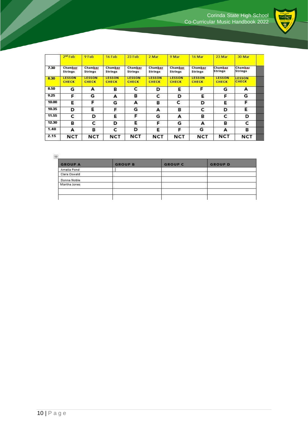

|       | 2 <sup>nd</sup> Feb           | 9 Feb                         | 16 Feb                        | 23 Feb                        | 2 Mar                         | 9 Mar                         | 16 Mar                        | 23 Mar                        | 30 Mar                        |  |
|-------|-------------------------------|-------------------------------|-------------------------------|-------------------------------|-------------------------------|-------------------------------|-------------------------------|-------------------------------|-------------------------------|--|
| 7.30  | Chamber<br><b>Strings</b>     | Chamber<br><b>Strings</b>     | Chamber<br><b>Strings</b>     | Chamber<br><b>Strings</b>     | Chamber<br><b>Strings</b>     | Chamber<br><b>Strings</b>     | Chamber<br><b>Strings</b>     | Chamber<br><b>Strings</b>     | Chamber<br><b>Strings</b>     |  |
| 8.30  | <b>LESSON</b><br><b>CHECK</b> | <b>LESSON</b><br><b>CHECK</b> | <b>LESSON</b><br><b>CHECK</b> | <b>LESSON</b><br><b>CHECK</b> | <b>LESSON</b><br><b>CHECK</b> | <b>LESSON</b><br><b>CHECK</b> | <b>LESSON</b><br><b>CHECK</b> | <b>LESSON</b><br><b>CHECK</b> | <b>LESSON</b><br><b>CHECK</b> |  |
| 8.50  | G                             | A                             | B                             | C                             | D                             | Е                             | F                             | G                             | A                             |  |
| 9.25  | F                             | G                             | A                             | в                             | c                             | D                             | Е                             | F                             | G                             |  |
| 10.00 | Е                             | F                             | G                             | A                             | в                             | c                             | D                             | Е                             | F                             |  |
| 10.35 | D                             | Е                             | F                             | G                             | А                             | в                             | c                             | D                             | Е                             |  |
| 11.55 | c                             | D                             | Е                             | F                             | G                             | A                             | в                             | c                             | D                             |  |
| 12.30 | в                             | c                             | D                             | Е                             | F                             | G                             | A                             | в                             | c                             |  |
| 1.40  | A                             | в                             | c                             | D                             | Е                             | F                             | G                             | A                             | в                             |  |
| 2.15  | <b>NCT</b>                    | <b>NCT</b>                    | <b>NCT</b>                    | <b>NCT</b>                    | <b>NCT</b>                    | NCT                           | <b>NCT</b>                    | <b>NCT</b>                    | <b>NCT</b>                    |  |
|       |                               |                               |                               |                               |                               |                               |                               |                               |                               |  |

 $\left\vert \frac{1}{\left\vert \frac{1}{\left\vert \mathbf{1}\right\vert }\right\vert }\right\vert$ 

| <b>GROUP A</b> | <b>GROUP B</b> | <b>GROUP C</b> | <b>GROUP D</b> |
|----------------|----------------|----------------|----------------|
| Amelia Pond    |                |                |                |
| Clara Oswald   |                |                |                |
| Donna Noble    |                |                |                |
| Martha Jones   |                |                |                |
|                |                |                |                |
|                |                |                |                |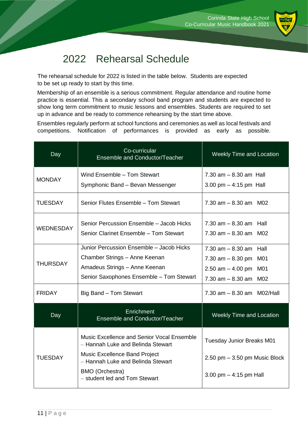

# 2022 Rehearsal Schedule

<span id="page-10-0"></span>The rehearsal schedule for 2022 is listed in the table below. Students are expected to be set up ready to start by this time.

Membership of an ensemble is a serious commitment. Regular attendance and routine home practice is essential. This a secondary school band program and students are expected to show long term commitment to music lessons and ensembles. Students are required to set up in advance and be ready to commence rehearsing by the start time above.

Ensembles regularly perform at school functions and ceremonies as well as local festivals and competitions. Notification of performances is provided as early as possible.

| Day              | Co-curricular<br>Ensemble and Conductor/Teacher                                                                                                        | <b>Weekly Time and Location</b>                                                                                        |
|------------------|--------------------------------------------------------------------------------------------------------------------------------------------------------|------------------------------------------------------------------------------------------------------------------------|
| <b>MONDAY</b>    | Wind Ensemble - Tom Stewart<br>Symphonic Band - Bevan Messenger                                                                                        | $7.30$ am $- 8.30$ am Hall<br>3.00 pm $-$ 4:15 pm Hall                                                                 |
| <b>TUESDAY</b>   | Senior Flutes Ensemble - Tom Stewart                                                                                                                   | $7.30$ am $- 8.30$ am M02                                                                                              |
| <b>WEDNESDAY</b> | Senior Percussion Ensemble - Jacob Hicks<br>Senior Clarinet Ensemble - Tom Stewart                                                                     | $7.30$ am $-8.30$ am<br>Hall<br>$7.30$ am $- 8.30$ am M02                                                              |
| <b>THURSDAY</b>  | Junior Percussion Ensemble - Jacob Hicks<br>Chamber Strings - Anne Keenan<br>Amadeus Strings - Anne Keenan<br>Senior Saxophones Ensemble - Tom Stewart | $7.30$ am $- 8.30$ am<br>Hall<br>M01<br>7.30 $am - 8.30 pm$<br>M01<br>2.50 am $-$ 4.00 pm<br>$7.30$ am $- 8.30$ am M02 |
| <b>FRIDAY</b>    | Big Band - Tom Stewart                                                                                                                                 | $7.30$ am $- 8.30$ am M02/Hall                                                                                         |
| Day              | Enrichment<br>Ensemble and Conductor/Teacher                                                                                                           | <b>Weekly Time and Location</b>                                                                                        |
| <b>TUESDAY</b>   | Music Excellence and Senior Vocal Ensemble<br>- Hannah Luke and Belinda Stewart<br>Music Excellence Band Project                                       | Tuesday Junior Breaks M01<br>$2.50$ pm $-3.50$ pm Music Block                                                          |
|                  | - Hannah Luke and Belinda Stewart<br><b>BMO</b> (Orchestra)<br>- student led and Tom Stewart                                                           | 3.00 pm $-$ 4:15 pm Hall                                                                                               |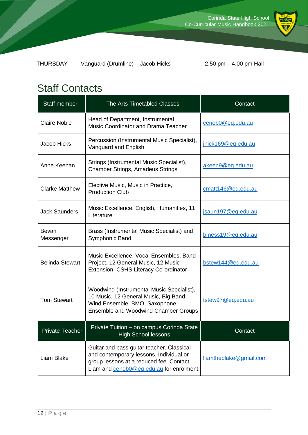

| THURSDAY | Vanguard (Drumline) – Jacob Hicks | $\frac{1}{2.50}$ pm $-$ 4.00 pm Hall |
|----------|-----------------------------------|--------------------------------------|
|          |                                   |                                      |

## <span id="page-11-0"></span>Staff Contacts

| Staff member           | The Arts Timetabled Classes                                                                                                                                                 | Contact                |
|------------------------|-----------------------------------------------------------------------------------------------------------------------------------------------------------------------------|------------------------|
| <b>Claire Noble</b>    | Head of Department, Instrumental<br>Music Coordinator and Drama Teacher                                                                                                     | cenob0@eq.edu.au       |
| <b>Jacob Hicks</b>     | Percussion (Instrumental Music Specialist),<br>Vanguard and English                                                                                                         | jhick169@eq.edu.au     |
| Anne Keenan            | Strings (Instrumental Music Specialist),<br><b>Chamber Strings, Amadeus Strings</b>                                                                                         | akeen9@eq.edu.au       |
| <b>Clarke Matthew</b>  | Elective Music, Music in Practice,<br><b>Production Club</b>                                                                                                                | cmatt146@eq.edu.au     |
| <b>Jack Saunders</b>   | Music Excellence, English, Humanities, 11<br>Literature                                                                                                                     | jsaun197@eq.edu.au     |
| Bevan<br>Messenger     | Brass (Instrumental Music Specialist) and<br>Symphonic Band                                                                                                                 | bmess19@eq.edu.au      |
| <b>Belinda Stewart</b> | Music Excellence, Vocal Ensembles, Band<br>Project, 12 General Music, 12 Music<br>Extension, CSHS Literacy Co-ordinator                                                     | bstew144@eq.edu.au     |
| <b>Tom Stewart</b>     | Woodwind (Instrumental Music Specialist),<br>10 Music, 12 General Music, Big Band,<br>Wind Ensemble, BMO, Saxophone<br>Ensemble and Woodwind Chamber Groups                 | tstew97@eq.edu.au      |
| <b>Private Teacher</b> | Private Tuition - on campus Corinda State<br><b>High School lessons</b>                                                                                                     | Contact                |
| Liam Blake             | Guitar and bass guitar teacher. Classical<br>and contemporary lessons. Individual or<br>group lessons at a reduced fee. Contact<br>Liam and cenob0@eq.edu.au for enrolment. | liamtheblake@gmail.com |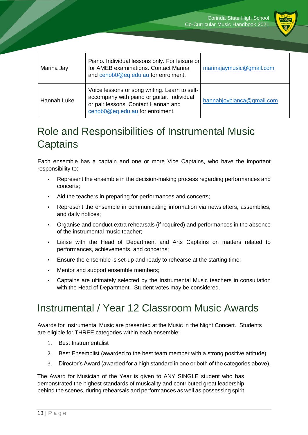

| Marina Jay  | Piano. Individual lessons only. For leisure or<br>for AMEB examinations. Contact Marina<br>and cenob0@eq.edu.au for enrolment.                                        | marinajaymusic@gmail.com  |
|-------------|-----------------------------------------------------------------------------------------------------------------------------------------------------------------------|---------------------------|
| Hannah Luke | Voice lessons or song writing. Learn to self-<br>accompany with piano or guitar. Individual<br>or pair lessons. Contact Hannah and<br>cenob0@eq.edu.au for enrolment. | hannahjoybianca@gmail.com |

## <span id="page-12-0"></span>Role and Responsibilities of Instrumental Music **Captains**

Each ensemble has a captain and one or more Vice Captains, who have the important responsibility to:

- Represent the ensemble in the decision-making process regarding performances and concerts;
- Aid the teachers in preparing for performances and concerts;
- Represent the ensemble in communicating information via newsletters, assemblies, and daily notices;
- Organise and conduct extra rehearsals (if required) and performances in the absence of the instrumental music teacher;
- Liaise with the Head of Department and Arts Captains on matters related to performances, achievements, and concerns;
- Ensure the ensemble is set-up and ready to rehearse at the starting time;
- Mentor and support ensemble members:
- Captains are ultimately selected by the Instrumental Music teachers in consultation with the Head of Department. Student votes may be considered.

## <span id="page-12-1"></span>Instrumental / Year 12 Classroom Music Awards

Awards for Instrumental Music are presented at the Music in the Night Concert. Students are eligible for THREE categories within each ensemble:

- 1. Best Instrumentalist
- 2. Best Ensemblist (awarded to the best team member with a strong positive attitude)
- 3. Director's Award (awarded for a high standard in one or both of the categories above).

The Award for Musician of the Year is given to ANY SINGLE student who has demonstrated the highest standards of musicality and contributed great leadership behind the scenes, during rehearsals and performances as well as possessing spirit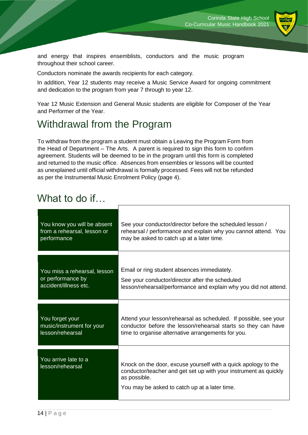

and energy that inspires ensemblists, conductors and the music program throughout their school career.

Conductors nominate the awards recipients for each category.

In addition, Year 12 students may receive a Music Service Award for ongoing commitment and dedication to the program from year 7 through to year 12.

Year 12 Music Extension and General Music students are eligible for Composer of the Year and Performer of the Year.

# <span id="page-13-0"></span>Withdrawal from the Program

To withdraw from the program a student must obtain a Leaving the Program Form from the Head of Department – The Arts. A parent is required to sign this form to confirm agreement. Students will be deemed to be in the program until this form is completed and returned to the music office. Absences from ensembles or lessons will be counted as unexplained until official withdrawal is formally processed. Fees will not be refunded as per the Instrumental Music Enrolment Policy (page 4).

## <span id="page-13-1"></span>What to do if…

| You know you will be absent              | See your conductor/director before the scheduled lesson /                                                                                                                                           |
|------------------------------------------|-----------------------------------------------------------------------------------------------------------------------------------------------------------------------------------------------------|
| from a rehearsal, lesson or              | rehearsal / performance and explain why you cannot attend. You                                                                                                                                      |
| performance                              | may be asked to catch up at a later time.                                                                                                                                                           |
| You miss a rehearsal, lesson             | Email or ring student absences immediately.                                                                                                                                                         |
| or performance by                        | See your conductor/director after the scheduled                                                                                                                                                     |
| accident/illness etc.                    | lesson/rehearsal/performance and explain why you did not attend.                                                                                                                                    |
| You forget your                          | Attend your lesson/rehearsal as scheduled. If possible, see your                                                                                                                                    |
| music/instrument for your                | conductor before the lesson/rehearsal starts so they can have                                                                                                                                       |
| lesson/rehearsal                         | time to organise alternative arrangements for you.                                                                                                                                                  |
| You arrive late to a<br>lesson/rehearsal | Knock on the door, excuse yourself with a quick apology to the<br>conductor/teacher and get set up with your instrument as quickly<br>as possible.<br>You may be asked to catch up at a later time. |